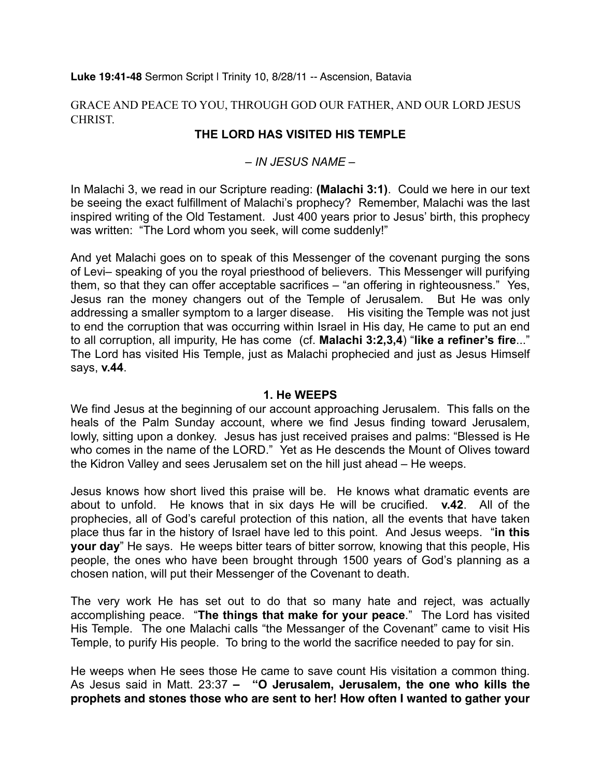#### **Luke 19:41-48** Sermon Script | Trinity 10, 8/28/11 -- Ascension, Batavia

GRACE AND PEACE TO YOU, THROUGH GOD OUR FATHER, AND OUR LORD JESUS **CHRIST** 

# **THE LORD HAS VISITED HIS TEMPLE**

## *– IN JESUS NAME –*

In Malachi 3, we read in our Scripture reading: **(Malachi 3:1)**. Could we here in our text be seeing the exact fulfillment of Malachi's prophecy? Remember, Malachi was the last inspired writing of the Old Testament. Just 400 years prior to Jesus' birth, this prophecy was written: "The Lord whom you seek, will come suddenly!"

And yet Malachi goes on to speak of this Messenger of the covenant purging the sons of Levi– speaking of you the royal priesthood of believers. This Messenger will purifying them, so that they can offer acceptable sacrifices – "an offering in righteousness." Yes, Jesus ran the money changers out of the Temple of Jerusalem. But He was only addressing a smaller symptom to a larger disease. His visiting the Temple was not just to end the corruption that was occurring within Israel in His day, He came to put an end to all corruption, all impurity, He has come (cf. **Malachi 3:2,3,4**) "**like a refiner's fire**..." The Lord has visited His Temple, just as Malachi prophecied and just as Jesus Himself says, **v.44**.

#### **1. He WEEPS**

We find Jesus at the beginning of our account approaching Jerusalem. This falls on the heals of the Palm Sunday account, where we find Jesus finding toward Jerusalem, lowly, sitting upon a donkey. Jesus has just received praises and palms: "Blessed is He who comes in the name of the LORD." Yet as He descends the Mount of Olives toward the Kidron Valley and sees Jerusalem set on the hill just ahead – He weeps.

Jesus knows how short lived this praise will be. He knows what dramatic events are about to unfold. He knows that in six days He will be crucified. **v.42**. All of the prophecies, all of God's careful protection of this nation, all the events that have taken place thus far in the history of Israel have led to this point. And Jesus weeps. "**in this your day**" He says. He weeps bitter tears of bitter sorrow, knowing that this people, His people, the ones who have been brought through 1500 years of God's planning as a chosen nation, will put their Messenger of the Covenant to death.

The very work He has set out to do that so many hate and reject, was actually accomplishing peace. "**The things that make for your peace**." The Lord has visited His Temple. The one Malachi calls "the Messanger of the Covenant" came to visit His Temple, to purify His people. To bring to the world the sacrifice needed to pay for sin.

He weeps when He sees those He came to save count His visitation a common thing. As Jesus said in Matt. 23:37 **– "O Jerusalem, Jerusalem, the one who kills the prophets and stones those who are sent to her! How often I wanted to gather your**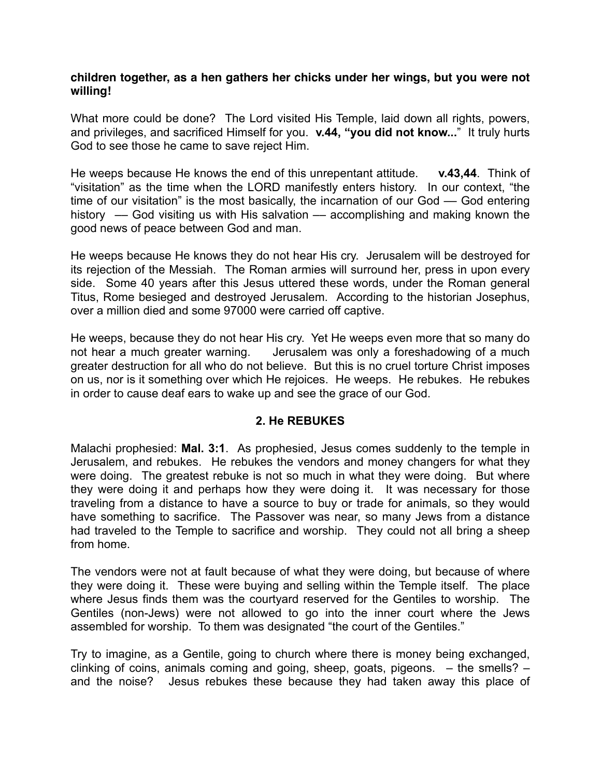#### **children together, as a hen gathers her chicks under her wings, but you were not willing!**

What more could be done? The Lord visited His Temple, laid down all rights, powers, and privileges, and sacrificed Himself for you. **v.44, "you did not know...**" It truly hurts God to see those he came to save reject Him.

He weeps because He knows the end of this unrepentant attitude. **v.43,44**. Think of "visitation" as the time when the LORD manifestly enters history. In our context, "the time of our visitation" is the most basically, the incarnation of our God –– God entering history –– God visiting us with His salvation –– accomplishing and making known the good news of peace between God and man.

He weeps because He knows they do not hear His cry. Jerusalem will be destroyed for its rejection of the Messiah. The Roman armies will surround her, press in upon every side. Some 40 years after this Jesus uttered these words, under the Roman general Titus, Rome besieged and destroyed Jerusalem. According to the historian Josephus, over a million died and some 97000 were carried off captive.

He weeps, because they do not hear His cry. Yet He weeps even more that so many do not hear a much greater warning. Jerusalem was only a foreshadowing of a much greater destruction for all who do not believe. But this is no cruel torture Christ imposes on us, nor is it something over which He rejoices. He weeps. He rebukes. He rebukes in order to cause deaf ears to wake up and see the grace of our God.

### **2. He REBUKES**

Malachi prophesied: **Mal. 3:1**. As prophesied, Jesus comes suddenly to the temple in Jerusalem, and rebukes. He rebukes the vendors and money changers for what they were doing. The greatest rebuke is not so much in what they were doing. But where they were doing it and perhaps how they were doing it. It was necessary for those traveling from a distance to have a source to buy or trade for animals, so they would have something to sacrifice. The Passover was near, so many Jews from a distance had traveled to the Temple to sacrifice and worship. They could not all bring a sheep from home.

The vendors were not at fault because of what they were doing, but because of where they were doing it. These were buying and selling within the Temple itself. The place where Jesus finds them was the courtyard reserved for the Gentiles to worship. The Gentiles (non-Jews) were not allowed to go into the inner court where the Jews assembled for worship. To them was designated "the court of the Gentiles."

Try to imagine, as a Gentile, going to church where there is money being exchanged, clinking of coins, animals coming and going, sheep, goats, pigeons. – the smells? – and the noise? Jesus rebukes these because they had taken away this place of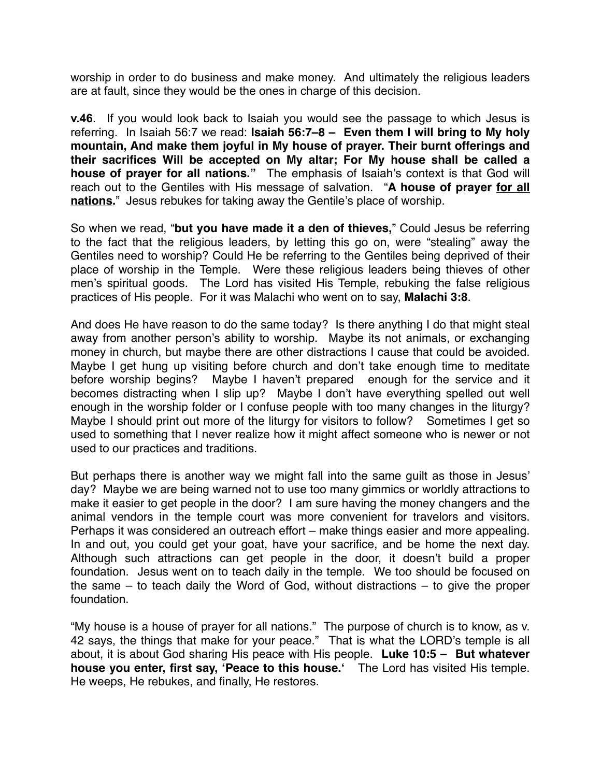worship in order to do business and make money. And ultimately the religious leaders are at fault, since they would be the ones in charge of this decision.

**v.46**. If you would look back to Isaiah you would see the passage to which Jesus is referring. In Isaiah 56:7 we read: **Isaiah 56:7–8 – Even them I will bring to My holy mountain, And make them joyful in My house of prayer. Their burnt offerings and their sacrifices Will be accepted on My altar; For My house shall be called a house of prayer for all nations."** The emphasis of Isaiah's context is that God will reach out to the Gentiles with His message of salvation. "**A house of prayer for all nations.**" Jesus rebukes for taking away the Gentile's place of worship.

So when we read, "**but you have made it a den of thieves,**" Could Jesus be referring to the fact that the religious leaders, by letting this go on, were "stealing" away the Gentiles need to worship? Could He be referring to the Gentiles being deprived of their place of worship in the Temple. Were these religious leaders being thieves of other men's spiritual goods. The Lord has visited His Temple, rebuking the false religious practices of His people. For it was Malachi who went on to say, **Malachi 3:8**.

And does He have reason to do the same today? Is there anything I do that might steal away from another person's ability to worship. Maybe its not animals, or exchanging money in church, but maybe there are other distractions I cause that could be avoided. Maybe I get hung up visiting before church and don't take enough time to meditate before worship begins? Maybe I haven't prepared enough for the service and it becomes distracting when I slip up? Maybe I don't have everything spelled out well enough in the worship folder or I confuse people with too many changes in the liturgy? Maybe I should print out more of the liturgy for visitors to follow? Sometimes I get so used to something that I never realize how it might affect someone who is newer or not used to our practices and traditions.

But perhaps there is another way we might fall into the same guilt as those in Jesus' day? Maybe we are being warned not to use too many gimmics or worldly attractions to make it easier to get people in the door? I am sure having the money changers and the animal vendors in the temple court was more convenient for travelors and visitors. Perhaps it was considered an outreach effort – make things easier and more appealing. In and out, you could get your goat, have your sacrifice, and be home the next day. Although such attractions can get people in the door, it doesn't build a proper foundation. Jesus went on to teach daily in the temple. We too should be focused on the same – to teach daily the Word of God, without distractions – to give the proper foundation.

"My house is a house of prayer for all nations." The purpose of church is to know, as v. 42 says, the things that make for your peace." That is what the LORD's temple is all about, it is about God sharing His peace with His people. **Luke 10:5 – But whatever house you enter, first say, ʻPeace to this house.ʻ** The Lord has visited His temple. He weeps, He rebukes, and finally, He restores.